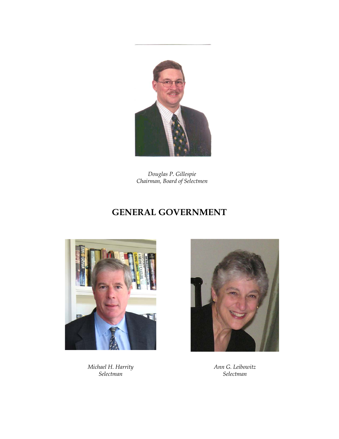

*Douglas P. Gillespie Chairman, Board of Selectmen*

# **GENERAL GOVERNMENT**



*Michael H. Harrity Selectman*



*Ann G. Leibowitz Selectman*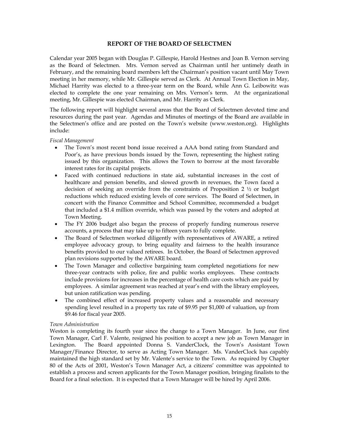## **REPORT OF THE BOARD OF SELECTMEN**

Calendar year 2005 began with Douglas P. Gillespie, Harold Hestnes and Joan B. Vernon serving as the Board of Selectmen. Mrs. Vernon served as Chairman until her untimely death in February, and the remaining board members left the Chairman's position vacant until May Town meeting in her memory, while Mr. Gillespie served as Clerk. At Annual Town Election in May, Michael Harrity was elected to a three-year term on the Board, while Ann G. Leibowitz was elected to complete the one year remaining on Mrs. Vernon's term. At the organizational meeting, Mr. Gillespie was elected Chairman, and Mr. Harrity as Clerk.

The following report will highlight several areas that the Board of Selectmen devoted time and resources during the past year. Agendas and Minutes of meetings of the Board are available in the Selectmen's office and are posted on the Town's website (www.weston.org). Highlights include:

## *Fiscal Management*

- The Town's most recent bond issue received a AAA bond rating from Standard and Poor's, as have previous bonds issued by the Town, representing the highest rating issued by this organization. This allows the Town to borrow at the most favorable interest rates for its capital projects.
- Faced with continued reductions in state aid, substantial increases in the cost of healthcare and pension benefits, and slowed growth in revenues, the Town faced a decision of seeking an override from the constraints of Proposition 2 ½ or budget reductions which reduced existing levels of core services. The Board of Selectmen, in concert with the Finance Committee and School Committee, recommended a budget that included a \$1.4 million override, which was passed by the voters and adopted at Town Meeting.
- The FY 2006 budget also began the process of properly funding numerous reserve accounts, a process that may take up to fifteen years to fully complete.
- The Board of Selectmen worked diligently with representatives of AWARE, a retired employee advocacy group, to bring equality and fairness to the health insurance benefits provided to our valued retirees. In October, the Board of Selectmen approved plan revisions supported by the AWARE board.
- The Town Manager and collective bargaining team completed negotiations for new three-year contracts with police, fire and public works employees. These contracts include provisions for increases in the percentage of health care costs which are paid by employees. A similar agreement was reached at year's end with the library employees, but union ratification was pending.
- The combined effect of increased property values and a reasonable and necessary spending level resulted in a property tax rate of \$9.95 per \$1,000 of valuation, up from \$9.46 for fiscal year 2005.

## *Town Administration*

Weston is completing its fourth year since the change to a Town Manager. In June, our first Town Manager, Carl F. Valente, resigned his position to accept a new job as Town Manager in Lexington. The Board appointed Donna S. VanderClock, the Town's Assistant Town Manager/Finance Director, to serve as Acting Town Manager. Ms. VanderClock has capably maintained the high standard set by Mr. Valente's service to the Town. As required by Chapter 80 of the Acts of 2001, Weston's Town Manager Act, a citizens' committee was appointed to establish a process and screen applicants for the Town Manager position, bringing finalists to the Board for a final selection. It is expected that a Town Manager will be hired by April 2006.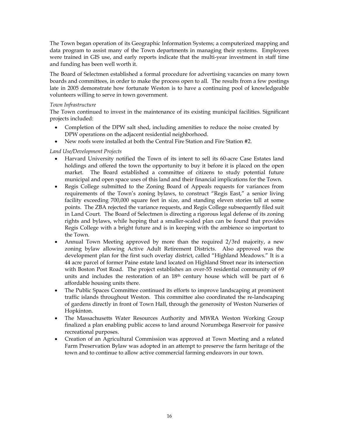The Town began operation of its Geographic Information Systems; a computerized mapping and data program to assist many of the Town departments in managing their systems. Employees were trained in GIS use, and early reports indicate that the multi-year investment in staff time and funding has been well worth it.

The Board of Selectmen established a formal procedure for advertising vacancies on many town boards and committees, in order to make the process open to all. The results from a few postings late in 2005 demonstrate how fortunate Weston is to have a continuing pool of knowledgeable volunteers willing to serve in town government.

## *Town Infrastructure*

The Town continued to invest in the maintenance of its existing municipal facilities. Significant projects included:

- Completion of the DPW salt shed, including amenities to reduce the noise created by DPW operations on the adjacent residential neighborhood.
- New roofs were installed at both the Central Fire Station and Fire Station #2.

## *Land Use/Development Projects*

- Harvard University notified the Town of its intent to sell its 60-acre Case Estates land holdings and offered the town the opportunity to buy it before it is placed on the open market. The Board established a committee of citizens to study potential future municipal and open space uses of this land and their financial implications for the Town.
- Regis College submitted to the Zoning Board of Appeals requests for variances from requirements of the Town's zoning bylaws, to construct "Regis East," a senior living facility exceeding 700,000 square feet in size, and standing eleven stories tall at some points. The ZBA rejected the variance requests, and Regis College subsequently filed suit in Land Court. The Board of Selectmen is directing a rigorous legal defense of its zoning rights and bylaws, while hoping that a smaller-scaled plan can be found that provides Regis College with a bright future and is in keeping with the ambience so important to the Town.
- Annual Town Meeting approved by more than the required 2/3rd majority, a new zoning bylaw allowing Active Adult Retirement Districts. Also approved was the development plan for the first such overlay district, called "Highland Meadows." It is a 44 acre parcel of former Paine estate land located on Highland Street near its intersection with Boston Post Road. The project establishes an over-55 residential community of 69 units and includes the restoration of an  $18<sup>th</sup>$  century house which will be part of 6 affordable housing units there.
- The Public Spaces Committee continued its efforts to improve landscaping at prominent traffic islands throughout Weston. This committee also coordinated the re-landscaping of gardens directly in front of Town Hall, through the generosity of Weston Nurseries of Hopkinton.
- The Massachusetts Water Resources Authority and MWRA Weston Working Group finalized a plan enabling public access to land around Norumbega Reservoir for passive recreational purposes.
- Creation of an Agricultural Commission was approved at Town Meeting and a related Farm Preservation Bylaw was adopted in an attempt to preserve the farm heritage of the town and to continue to allow active commercial farming endeavors in our town.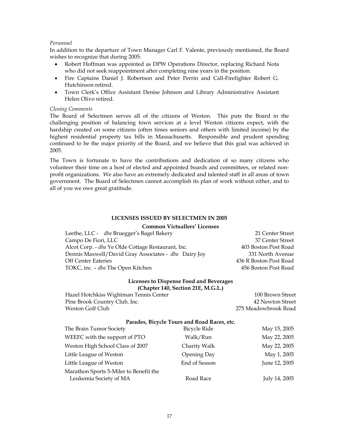## *Personnel*

In addition to the departure of Town Manager Carl F. Valente, previously mentioned, the Board wishes to recognize that during 2005:

- Robert Hoffman was appointed as DPW Operations Director, replacing Richard Nota who did not seek reappointment after completing nine years in the position.
- Fire Captains Daniel J. Robertson and Peter Perrin and Call-Firefighter Robert G. Hutchinson retired.
- Town Clerk's Office Assistant Denise Johnson and Library Administrative Assistant Helen Olivo retired.

#### *Closing Comments*

The Board of Selectmen serves all of the citizens of Weston. This puts the Board in the challenging position of balancing town services at a level Weston citizens expect, with the hardship created on some citizens (often times seniors and others with limited income) by the highest residential property tax bills in Massachusetts. Responsible and prudent spending continued to be the major priority of the Board, and we believe that this goal was achieved in 2005.

The Town is fortunate to have the contributions and dedication of so many citizens who volunteer their time on a host of elected and appointed boards and committees, or related nonprofit organizations. We also have an extremely dedicated and talented staff in all areas of town government. The Board of Selectmen cannot accomplish its plan of work without either, and to all of you we owe great gratitude.

#### **LICENSES ISSUED BY SELECTMEN IN 2005**

#### **Common Victuallers' Licenses**

| Leethe, LLC - dba Bruegger's Bagel Bakery                 | 21 Center Street       |
|-----------------------------------------------------------|------------------------|
| Campo De Fiori, LLC                                       | 37 Center Street       |
| Alcot Corp. - <i>dba</i> Ye Olde Cottage Restaurant, Inc. | 403 Boston Post Road   |
| Dennis Maxwell/David Gray Associates - dba Dairy Joy      | 331 North Avenue       |
| <b>Off Center Eateries</b>                                | 436 R Boston Post Road |
| TOKC, inc. - dba The Open Kitchen                         | 456 Boston Post Road   |
|                                                           |                        |

## **Licenses to Dispense Food and Beverages (Chapter 140, Section 21E, M.G.L.)**

Hazel Hotchkiss Wightman Tennis Center 100 Brown Street Pine Brook Country Club, Inc. 42 Newton Street Weston Golf Club 275 Meadowbrook Road

#### **Parades, Bicycle Tours and Road Races, etc.**

| The Brain Tumor Society                | <b>Bicycle Ride</b> | May 15, 2005  |
|----------------------------------------|---------------------|---------------|
| WEEFC with the support of PTO          | Walk/Run            | May 22, 2005  |
| Weston High School Class of 2007       | Charity Walk        | May 22, 2005  |
| Little League of Weston                | Opening Day         | May 1, 2005   |
| Little League of Weston                | End of Season       | June 12, 2005 |
| Marathon Sports 5-Miler to Benefit the |                     |               |
| Leukemia Society of MA                 | Road Race           | July 14, 2005 |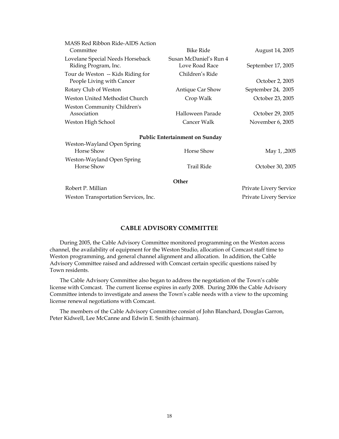| MASS Red Ribbon Ride-AIDS Action<br>Committee                  | <b>Bike Ride</b>                         | August 14, 2005        |
|----------------------------------------------------------------|------------------------------------------|------------------------|
| Lovelane Special Needs Horseback<br>Riding Program, Inc.       | Susan McDaniel's Run 4<br>Love Road Race | September 17, 2005     |
| Tour de Weston -- Kids Riding for<br>People Living with Cancer | Children's Ride                          | October 2, 2005        |
| Rotary Club of Weston                                          | Antique Car Show                         | September 24, 2005     |
| Weston United Methodist Church                                 | Crop Walk                                | October 23, 2005       |
| <b>Weston Community Children's</b><br>Association              | Halloween Parade                         | October 29, 2005       |
| Weston High School                                             | Cancer Walk                              | November 6, 2005       |
|                                                                | <b>Public Entertainment on Sunday</b>    |                        |
| Weston-Wayland Open Spring<br>Horse Show                       | Horse Show                               | May 1, ,2005           |
| Weston-Wayland Open Spring<br>Horse Show                       | <b>Trail Ride</b>                        | October 30, 2005       |
|                                                                | Other                                    |                        |
| Robert P. Millian                                              |                                          | Private Livery Service |
| Weston Transportation Services, Inc.                           |                                          | Private Livery Service |
|                                                                |                                          |                        |

## **CABLE ADVISORY COMMITTEE**

 During 2005, the Cable Advisory Committee monitored programming on the Weston access channel, the availability of equipment for the Weston Studio, allocation of Comcast staff time to Weston programming, and general channel alignment and allocation. In addition, the Cable Advisory Committee raised and addressed with Comcast certain specific questions raised by Town residents.

 The Cable Advisory Committee also began to address the negotiation of the Town's cable license with Comcast. The current license expires in early 2008. During 2006 the Cable Advisory Committee intends to investigate and assess the Town's cable needs with a view to the upcoming license renewal negotiations with Comcast.

 The members of the Cable Advisory Committee consist of John Blanchard, Douglas Garron, Peter Kidwell, Lee McCanne and Edwin E. Smith (chairman).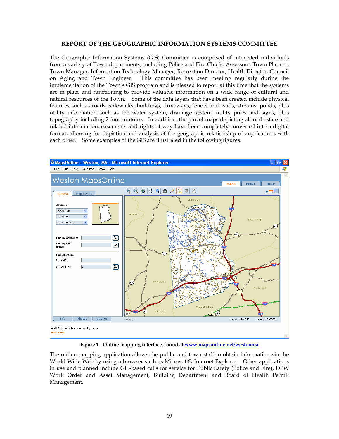## **REPORT OF THE GEOGRAPHIC INFORMATION SYSTEMS COMMITTEE**

The Geographic Information Systems (GIS) Committee is comprised of interested individuals from a variety of Town departments, including Police and Fire Chiefs, Assessors, Town Planner, Town Manager, Information Technology Manager, Recreation Director, Health Director, Council on Aging and Town Engineer. This committee has been meeting regularly during the implementation of the Town's GIS program and is pleased to report at this time that the systems are in place and functioning to provide valuable information on a wide range of cultural and natural resources of the Town. Some of the data layers that have been created include physical features such as roads, sidewalks, buildings, driveways, fences and walls, streams, ponds, plus utility information such as the water system, drainage system, utility poles and signs, plus topography including 2 foot contours. In addition, the parcel maps depicting all real estate and related information, easements and rights of way have been completely converted into a digital format, allowing for depiction and analysis of the geographic relationship of any features with each other. Some examples of the GIS are illustrated in the following figures.



**Figure 1 - Online mapping interface, found at www.mapsonline.net/westonma**

The online mapping application allows the public and town staff to obtain information via the World Wide Web by using a browser such as Microsoft® Internet Explorer. Other applications in use and planned include GIS-based calls for service for Public Safety (Police and Fire), DPW Work Order and Asset Management, Building Department and Board of Health Permit Management.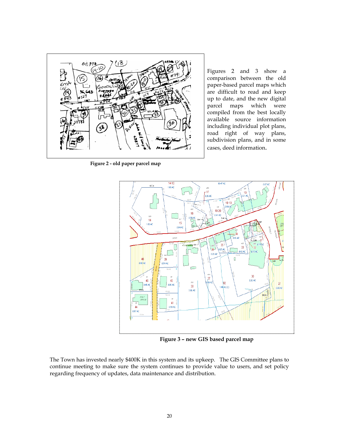

**Figure 2 - old paper parcel map** 

Figures 2 and 3 show a comparison between the old paper-based parcel maps which are difficult to read and keep up to date, and the new digital parcel maps which were compiled from the best locally available source information including individual plot plans, road right of way plans, subdivision plans, and in some cases, deed information.



**Figure 3 – new GIS based parcel map**

The Town has invested nearly \$400K in this system and its upkeep. The GIS Committee plans to continue meeting to make sure the system continues to provide value to users, and set policy regarding frequency of updates, data maintenance and distribution.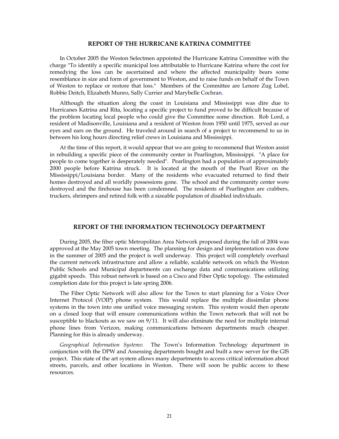#### **REPORT OF THE HURRICANE KATRINA COMMITTEE**

In October 2005 the Weston Selectmen appointed the Hurricane Katrina Committee with the charge "To identify a specific municipal loss attributable to Hurricane Katrina where the cost for remedying the loss can be ascertained and where the affected municipality bears some resemblance in size and form of government to Weston, and to raise funds on behalf of the Town of Weston to replace or restore that loss." Members of the Committee are Lenore Zug Lobel, Robbie Deitch, Elizabeth Munro, Sally Currier and Marybelle Cochran.

Although the situation along the coast in Louisiana and Mississippi was dire due to Hurricanes Katrina and Rita, locating a specific project to fund proved to be difficult because of the problem locating local people who could give the Committee some direction. Rob Lord, a resident of Madisonville, Louisiana and a resident of Weston from 1950 until 1975, served as our eyes and ears on the ground. He traveled around in search of a project to recommend to us in between his long hours directing relief crews in Louisiana and Mississippi.

At the time of this report, it would appear that we are going to recommend that Weston assist in rebuilding a specific piece of the community center in Pearlington, Mississippi. "A place for people to come together is desperately needed". Pearlington had a population of approximately 2000 people before Katrina struck. It is located at the mouth of the Pearl River on the Mississippi/Louisiana border. Many of the residents who evacuated returned to find their homes destroyed and all worldly possessions gone. The school and the community center were destroyed and the firehouse has been condemned. The residents of Pearlington are crabbers, truckers, shrimpers and retired folk with a sizeable population of disabled individuals.

#### **REPORT OF THE INFORMATION TECHNOLOGY DEPARTMENT**

During 2005, the fiber optic Metropolitan Area Network proposed during the fall of 2004 was approved at the May 2005 town meeting. The planning for design and implementation was done in the summer of 2005 and the project is well underway. This project will completely overhaul the current network infrastructure and allow a reliable, scalable network on which the Weston Public Schools and Municipal departments can exchange data and communications utilizing gigabit speeds. This robust network is based on a Cisco and Fiber Optic topology. The estimated completion date for this project is late spring 2006.

The Fiber Optic Network will also allow for the Town to start planning for a Voice Over Internet Protocol (VOIP) phone system. This would replace the multiple dissimilar phone systems in the town into one unified voice messaging system. This system would then operate on a closed loop that will ensure communications within the Town network that will not be susceptible to blackouts as we saw on 9/11. It will also eliminate the need for multiple internal phone lines from Verizon, making communications between departments much cheaper. Planning for this is already underway.

*Geographical Information Systems*: The Town's Information Technology department in conjunction with the DPW and Assessing departments bought and built a new server for the GIS project. This state of the art system allows many departments to access critical information about streets, parcels, and other locations in Weston. There will soon be public access to these resources.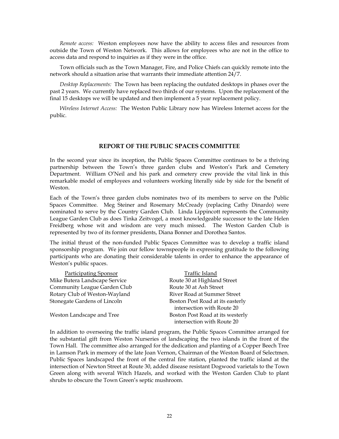*Remote access:* Weston employees now have the ability to access files and resources from outside the Town of Weston Network. This allows for employees who are not in the office to access data and respond to inquiries as if they were in the office.

Town officials such as the Town Manager, Fire, and Police Chiefs can quickly remote into the network should a situation arise that warrants their immediate attention 24/7.

*Desktop Replacements:* The Town has been replacing the outdated desktops in phases over the past 2 years. We currently have replaced two thirds of our systems. Upon the replacement of the final 15 desktops we will be updated and then implement a 5 year replacement policy.

*Wireless Internet Access:* The Weston Public Library now has Wireless Internet access for the public.

## **REPORT OF THE PUBLIC SPACES COMMITTEE**

In the second year since its inception, the Public Spaces Committee continues to be a thriving partnership between the Town's three garden clubs and Weston's Park and Cemetery Department. William O'Neil and his park and cemetery crew provide the vital link in this remarkable model of employees and volunteers working literally side by side for the benefit of Weston.

Each of the Town's three garden clubs nominates two of its members to serve on the Public Spaces Committee. Meg Steiner and Rosemary McCready (replacing Cathy Dinardo) were nominated to serve by the Country Garden Club. Linda Lippincott represents the Community League Garden Club as does Tinka Zeitvogel, a most knowledgeable successor to the late Helen Freidberg whose wit and wisdom are very much missed. The Weston Garden Club is represented by two of its former presidents, Diana Bonner and Dorothea Santos.

The initial thrust of the non-funded Public Spaces Committee was to develop a traffic island sponsorship program. We join our fellow townspeople in expressing gratitude to the following participants who are donating their considerable talents in order to enhance the appearance of Weston's public spaces.

| <b>Participating Sponsor</b>  | Traffic Island                   |
|-------------------------------|----------------------------------|
| Mike Butera Landscape Service | Route 30 at Highland Street      |
| Community League Garden Club  | Route 30 at Ash Street           |
| Rotary Club of Weston-Wayland | River Road at Summer Street      |
| Stonegate Gardens of Lincoln  | Boston Post Road at its easterly |
|                               | intersection with Route 20       |
| Weston Landscape and Tree     | Boston Post Road at its westerly |
|                               | intersection with Route 20       |

In addition to overseeing the traffic island program, the Public Spaces Committee arranged for the substantial gift from Weston Nurseries of landscaping the two islands in the front of the Town Hall. The committee also arranged for the dedication and planting of a Copper Beech Tree in Lamson Park in memory of the late Joan Vernon, Chairman of the Weston Board of Selectmen. Public Spaces landscaped the front of the central fire station, planted the traffic island at the intersection of Newton Street at Route 30, added disease resistant Dogwood varietals to the Town Green along with several Witch Hazels, and worked with the Weston Garden Club to plant shrubs to obscure the Town Green's septic mushroom.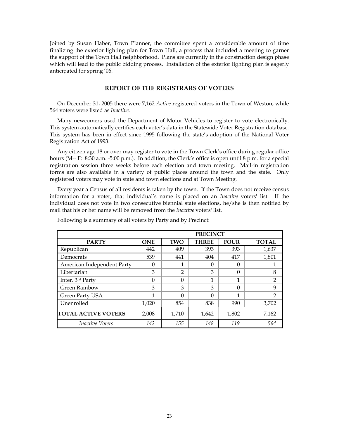Joined by Susan Haber, Town Planner, the committee spent a considerable amount of time finalizing the exterior lighting plan for Town Hall, a process that included a meeting to garner the support of the Town Hall neighborhood. Plans are currently in the construction design phase which will lead to the public bidding process. Installation of the exterior lighting plan is eagerly anticipated for spring '06.

## **REPORT OF THE REGISTRARS OF VOTERS**

On December 31, 2005 there were 7,162 *Active* registered voters in the Town of Weston, while 564 voters were listed as *Inactive.* 

Many newcomers used the Department of Motor Vehicles to register to vote electronically. This system automatically certifies each voter's data in the Statewide Voter Registration database. This system has been in effect since 1995 following the state's adoption of the National Voter Registration Act of 1993.

Any citizen age 18 or over may register to vote in the Town Clerk's office during regular office hours (M-- F: 8:30 a.m. -5:00 p.m.). In addition, the Clerk's office is open until 8 p.m. for a special registration session three weeks before each election and town meeting. Mail-in registration forms are also available in a variety of public places around the town and the state. Only registered voters may vote in state and town elections and at Town Meeting.

Every year a Census of all residents is taken by the town. If the Town does not receive census information for a voter, that individual's name is placed on an *Inactive* voters' list. If the individual does not vote in two consecutive biennial state elections, he/she is then notified by mail that his or her name will be removed from the *Inactive* voters' list.

|                            |                                                                         | <b>PRECINCT</b> |       |          |               |  |  |  |
|----------------------------|-------------------------------------------------------------------------|-----------------|-------|----------|---------------|--|--|--|
| <b>PARTY</b>               | <b>THREE</b><br><b>FOUR</b><br><b>TOTAL</b><br><b>TWO</b><br><b>ONE</b> |                 |       |          |               |  |  |  |
| Republican                 | 442                                                                     | 409             | 393   | 393      | 1,637         |  |  |  |
| Democrats                  | 539                                                                     | 441             | 404   | 417      | 1,801         |  |  |  |
| American Independent Party | 0                                                                       |                 | 0     | 0        |               |  |  |  |
| Libertarian                | 3                                                                       | 2               | 3     | $\Omega$ | 8             |  |  |  |
| Inter. 3rd Party           | 0                                                                       | O               | 1     | 1        | 2             |  |  |  |
| Green Rainbow              | 3                                                                       | 3               | 3     | $\Omega$ | 9             |  |  |  |
| Green Party USA            | 1                                                                       | $\Omega$        | 0     | 1        | $\mathcal{P}$ |  |  |  |
| Unenrolled                 | 1,020                                                                   | 854             | 838   | 990      | 3,702         |  |  |  |
| <b>TOTAL ACTIVE VOTERS</b> | 2,008                                                                   | 1,710           | 1,642 | 1,802    | 7,162         |  |  |  |
| <i>Inactive Voters</i>     | 142                                                                     | 155             | 148   | 119      | 564           |  |  |  |

Following is a summary of all voters by Party and by Precinct: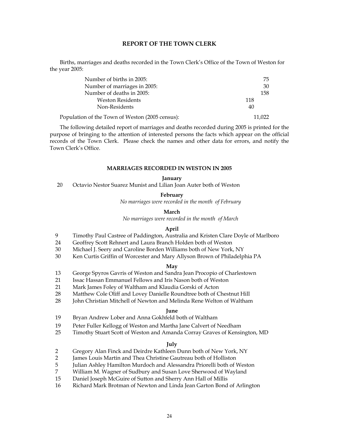#### **REPORT OF THE TOWN CLERK**

 Births, marriages and deaths recorded in the Town Clerk's Office of the Town of Weston for the year 2005:

| Number of births in 2005:                       | 75     |
|-------------------------------------------------|--------|
| Number of marriages in 2005:                    | 30     |
| Number of deaths in 2005:                       | 158    |
| <b>Weston Residents</b>                         | 118    |
| Non-Residents                                   | 40     |
| Population of the Town of Weston (2005 census): | 11.022 |

 The following detailed report of marriages and deaths recorded during 2005 is printed for the purpose of bringing to the attention of interested persons the facts which appear on the official records of the Town Clerk. Please check the names and other data for errors, and notify the Town Clerk's Office.

#### **MARRIAGES RECORDED IN WESTON IN 2005**

#### **January**

20 Octavio Nestor Suarez Munist and Lilian Joan Auter both of Weston

#### **February**

*No marriages were recorded in the month of February* 

#### **March**

*No marriages were recorded in the month of March* 

#### **April**

- 9 Timothy Paul Castree of Paddington, Australia and Kristen Clare Doyle of Marlboro
- 24 Geoffrey Scott Rehnert and Laura Branch Holden both of Weston
- 30 Michael J. Seery and Caroline Borden Williams both of New York, NY
- 30 Ken Curtis Griffin of Worcester and Mary Allyson Brown of Philadelphia PA

#### **May**

- 13 George Spyros Gavris of Weston and Sandra Jean Procopio of Charlestown
- 21 Issac Hassan Emmanuel Fellows and Iris Nason both of Weston
- 21 Mark James Foley of Waltham and Klaudia Gorski of Acton
- 28 Matthew Cole Oliff and Lovey Danielle Roundtree both of Chestnut Hill
- 28 John Christian Mitchell of Newton and Melinda Rene Welton of Waltham

## **June**

- 19 Bryan Andrew Lober and Anna Gokhfeld both of Waltham
- 19 Peter Fuller Kellogg of Weston and Martha Jane Calvert of Needham
- 25 Timothy Stuart Scott of Weston and Amanda Corray Graves of Kensington, MD

#### **July**

- 2 Gregory Alan Finck and Deirdre Kathleen Dunn both of New York, NY
- 2 James Louis Martin and Thea Christine Gautreau both of Holliston
- 5 Julian Ashley Hamilton Murdoch and Alessandra Priorelli both of Weston
- 7 William M. Wagner of Sudbury and Susan Love Sherwood of Wayland
- 15 Daniel Joseph McGuire of Sutton and Sherry Ann Hall of Millis
- 16 Richard Mark Brotman of Newton and Linda Jean Garton Bond of Arlington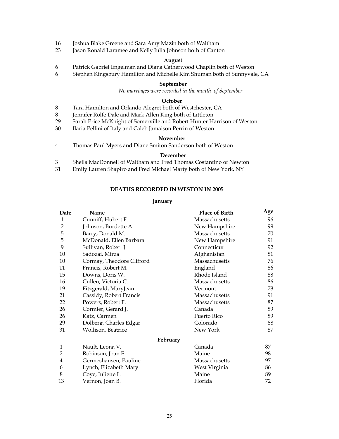- 16 Joshua Blake Greene and Sara Amy Mazin both of Waltham
- 23 Jason Ronald Laramee and Kelly Julia Johnson both of Canton

## **August**

- 6 Patrick Gabriel Engelman and Diana Catherwood Chaplin both of Weston
- 6 Stephen Kingsbury Hamilton and Michelle Kim Shuman both of Sunnyvale, CA

## **September**

*No marriages were recorded in the month of September* 

## **October**

- 8 Tara Hamilton and Orlando Alegret both of Westchester, CA
- 8 Jennifer Rolfe Dale and Mark Allen King both of Littleton
- 29 Sarah Price McKnight of Somerville and Robert Hunter Harrison of Weston
- 30 Ilaria Pellini of Italy and Caleb Jamaison Perrin of Weston

#### **November**

4 Thomas Paul Myers and Diane Smiton Sanderson both of Weston

## **December**

- 3 Sheila MacDonnell of Waltham and Fred Thomas Costantino of Newton
- 31 Emily Lauren Shapiro and Fred Michael Marty both of New York, NY

## **DEATHS RECORDED IN WESTON IN 2005**

## **January**

| Date           | Name                      | <b>Place of Birth</b> | Age |
|----------------|---------------------------|-----------------------|-----|
| 1              | Cunniff, Hubert F.        | Massachusetts         | 96  |
| 2              | Johnson, Burdette A.      | New Hampshire         | 99  |
| 5              | Barry, Donald M.          | Massachusetts         | 70  |
| 5              | McDonald, Ellen Barbara   | New Hampshire         | 91  |
| 9              | Sullivan, Robert J.       | Connecticut           | 92  |
| 10             | Sadozai, Mirza            | Afghanistan           | 81  |
| 10             | Cormay, Theodore Clifford | Massachusetts         | 76  |
| 11             | Francis, Robert M.        | England               | 86  |
| 15             | Downs, Doris W.           | Rhode Island          | 88  |
| 16             | Cullen, Victoria C.       | Massachusetts         | 86  |
| 19             | Fitzgerald, MaryJean      | Vermont               | 78  |
| 21             | Cassidy, Robert Francis   | Massachusetts         | 91  |
| 22             | Powers, Robert F.         | Massachusetts         | 87  |
| 26             | Cormier, Gerard J.        | Canada                | 89  |
| 26             | Katz, Carmen              | Puerto Rico           | 89  |
| 29             | Dolberg, Charles Edgar    | Colorado              | 88  |
| 31             | Wollison, Beatrice        | New York              | 87  |
|                | February                  |                       |     |
| 1              | Nault, Leona V.           | Canada                | 87  |
| $\overline{2}$ | Robinson, Joan E.         | Maine                 | 98  |
| 4              | Germeshausen, Pauline     | Massachusetts         | 97  |
| 6              | Lynch, Elizabeth Mary     | West Virginia         | 86  |
| 8              | Coye, Juliette L.         | Maine                 | 89  |
| 13             | Vernon, Joan B.           | Florida               | 72  |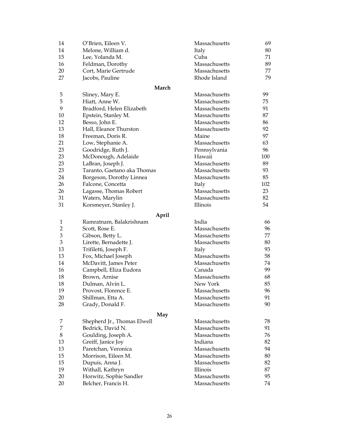| 14             | O'Brien, Eileen V.          | Massachusetts | 69  |
|----------------|-----------------------------|---------------|-----|
| 14             | Melone, William d.          | Italy         | 80  |
| 15             | Lee, Yolanda M.             | Cuba          | 71  |
| 16             | Feldman, Dorothy            | Massachusetts | 89  |
| 20             | Cort, Marie Gertrude        | Massachusetts | 77  |
| 27             | Jacobs, Pauline             | Rhode Island  | 79  |
|                | March                       |               |     |
| 5              | Sliney, Mary E.             | Massachusetts | 99  |
| 5              | Hiatt, Anne W.              | Massachusetts | 75  |
| 9              | Bradford, Helen Elizabeth   | Massachusetts | 91  |
| 10             | Epstein, Stanley M.         | Massachusetts | 87  |
| 12             | Besso, John E.              | Massachusetts | 86  |
| 13             | Hall, Eleanor Thurston      | Massachusetts | 92  |
| 18             | Freeman, Doris R.           | Maine         | 97  |
| 21             | Low, Stephanie A.           | Massachusetts | 63  |
| 23             | Goodridge, Ruth J.          | Pennsylvania  | 96  |
| 23             | McDonough, Adelaide         | Hawaii        | 100 |
| 23             | LaBran, Joseph J.           | Massachusetts | 89  |
| 23             | Taranto, Gaetano aka Thomas | Massachusetts | 93  |
| 24             | Borgeson, Dorothy Linnea    | Massachusetts | 85  |
| 26             | Falcone, Concetta           | Italy         | 102 |
| 26             | Lagasse, Thomas Robert      | Massachusetts | 23  |
| 31             | Waters, Marylin             | Massachusetts | 82  |
| 31             | Korsmeyer, Stanley J.       | Illinois      | 54  |
|                | April                       |               |     |
| 1              | Ramratnam, Balakrishnam     | India         | 66  |
| $\overline{2}$ | Scott, Rose E.              | Massachusetts | 96  |
| 3              | Gibson, Betty L.            | Massachusetts | 77  |
| 3              | Lirette, Bernadette J.      | Massachusetts | 80  |
| 13             | Trifiletti, Joseph F.       | Italy         | 93  |
| 13             | Fox, Michael Joseph         | Massachusetts | 58  |
| 14             | McDavitt, James Peter       | Massachusetts | 74  |
| 16             | Campbell, Eliza Eudora      | Canada        | 99  |
| 18             | Brown, Arnise               | Massachusetts | 68  |
| 18             | Dulman, Alvin L.            | New York      | 85  |
| 19             | Provost, Florence E.        | Massachusetts | 96  |
| 20             | Shillman, Etta A.           | Massachusetts | 91  |
| 28             | Grady, Donald F.            | Massachusetts | 90  |
|                | May                         |               |     |
| 7              | Shepherd Jr., Thomas Elwell | Massachusetts | 78  |
| 7              | Bedrick, David N.           | Massachusetts | 91  |
| 8              | Goulding, Joseph A.         | Massachusetts | 76  |
| 13             | Greiff, Janice Joy          | Indiana       | 82  |
| 13             | Paretchan, Veronica         | Massachusetts | 94  |
| 15             | Morrison, Eileen M.         | Massachusetts | 80  |
| 15             | Dupuis, Anna J.             | Massachusetts | 82  |
| 19             | Withall, Kathryn            | Illinois      | 87  |
| 20             | Horwitz, Sophie Sandler     | Massachusetts | 95  |
| 20             | Belcher, Francis H.         | Massachusetts | 74  |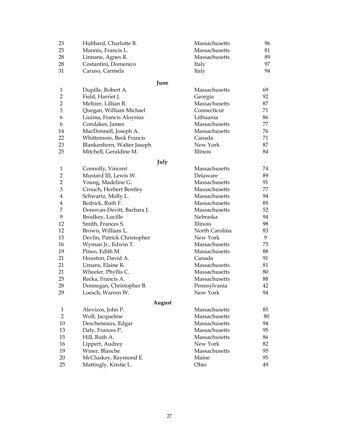| 23             | Hubbard, Charlotte B.       | Massachusetts  | 96 |
|----------------|-----------------------------|----------------|----|
| 25             | Mannix, Francis L.          | Massachusetts  | 81 |
| 28             | Linnane, Agnes R.           | Massachusetts  | 89 |
| 28             | Costantini, Domenico        | Italy          | 97 |
| 31             | Caruso, Carmela             | Italy          | 94 |
|                | June                        |                |    |
| 1              | Dupille, Robert A.          | Massachusetts  | 69 |
| $\overline{2}$ | Field, Harriet J.           | Georgia        | 92 |
| $\overline{2}$ | Meltzer, Lillian R.         | Massachusetts  | 87 |
| 3              | Quegan, William Michael     | Connecticut    | 71 |
| 6              | Liuima, Francis Aloysius    | Lithuania      | 86 |
| 6              | Condakes, James             | Massachusetts  | 77 |
| 14             | MacDonnell, Joseph A.       | Massachusetts  | 76 |
| 22             | Whittemore, Beck Francis    | Canada         | 71 |
| 23             | Blankenhorn, Walter Joseph  | New York       | 87 |
| 25             | Mitchell, Geraldine M.      | Illinois       | 84 |
|                | July                        |                |    |
| 1              | Connolly, Vincent           | Massachusetts  | 74 |
| 2              | Mustard III, Lewis W.       | Delaware       | 89 |
| $\overline{2}$ | Young, Madeline G.          | Massachusetts  | 91 |
| 3              | Crouch, Herbert Bentley     | Massachusetts  | 77 |
| 4              | Schwartz, Molly L.          | Massachusetts  | 94 |
| 4              | Bedrick, Ruth F.            | Massachusetts  | 85 |
| 7              | Donovan-Devitt, Barbara J.  | Massachusetts  | 52 |
| 9              | Brodkey, Lucille            | Nebraska       | 94 |
| 12             | Smith, Frances S.           | Illinois       | 98 |
| 12             | Brown, William L.           | North Carolina | 83 |
| 15             | Devlin, Patrick Christopher | New York       | 9  |
| 16             | Wyman Jr., Edwin T.         | Massachusetts  | 75 |
| 19             | Pineo, Edith M.             | Massachusetts  | 88 |
| 21             | Houston, David A.           | Canada         | 91 |
| 21             | Umans, Elaine R.            | Massachusetts  | 81 |
| 21             | Wheeler, Phyllis C.         | Massachusetts  | 80 |
| 25             | Recka, Francis A.           | Massachusetts  | 88 |
| 28             | Donnegan, Christopher B.    | Pennsylvania   | 42 |
| 29             | Loesch, Warren W.           | New York       | 94 |
|                | August                      |                |    |
| $\mathbf{1}$   | Alevizos, John P.           | Massachusetts  | 85 |
| $\overline{2}$ | Wolf, Jacqueline            | Massachusetts  | 80 |
| 10             | Descheneaux, Edgar          | Massachusetts  | 94 |
| 13             | Daly, Frances P.            | Massachusetts  | 95 |
| 15             | Hill, Ruth A.               | Massachusetts  | 86 |
| 16             | Lippert, Audrey             | New York       | 82 |
| 19             | Winer, Blanche              | Massachusetts  | 95 |
| 20             | McCluskey, Raymond E.       | Maine          | 95 |
| 25             | Mattingly, Kristie L.       | Ohio           | 49 |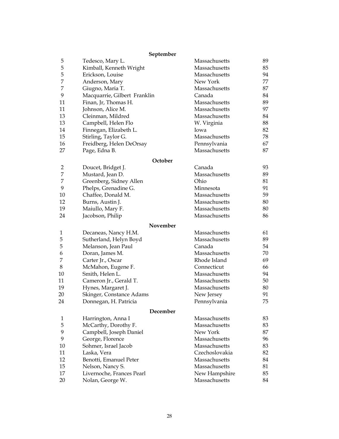# **September**

| 5              | Tedesco, Mary L.             | Massachusetts  | 89 |
|----------------|------------------------------|----------------|----|
| 5              | Kimball, Kenneth Wright      | Massachusetts  | 85 |
| 5              | Erickson, Louise             | Massachusetts  | 94 |
| 7              | Anderson, Mary               | New York       | 77 |
| 7              | Giugno, Maria T.             | Massachusetts  | 87 |
| 9              | Macquarrie, Gilbert Franklin | Canada         | 84 |
| 11             | Finan, Jr, Thomas H.         | Massachusetts  | 89 |
| 11             | Johnson, Alice M.            | Massachusetts  | 97 |
| 13             | Cleinman, Mildred            | Massachusetts  | 84 |
| 13             | Campbell, Helen Flo          | W. Virginia    | 88 |
| 14             | Finnegan, Elizabeth L.       | Iowa           | 82 |
| 15             | Stirling, Taylor G.          | Massachusetts  | 78 |
| 16             | Freidberg, Helen DeOrsay     | Pennsylvania   | 67 |
| 27             | Page, Edna B.                | Massachusetts  | 87 |
|                | October                      |                |    |
| $\overline{c}$ | Doucet, Bridget J.           | Canada         | 93 |
| 7              | Mustard, Jean D.             | Massachusetts  | 89 |
| 7              | Greenberg, Sidney Allen      | Ohio           | 81 |
| 9              | Phelps, Grenadine G.         | Minnesota      | 91 |
| 10             | Chaffee, Donald M.           | Massachusetts  | 59 |
| 12             | Burns, Austin J.             | Massachusetts  | 80 |
| 19             | Maiullo, Mary F.             | Massachusetts  | 80 |
| 24             | Jacobson, Philip             | Massachusetts  | 86 |
|                | November                     |                |    |
| 1              | Decaneas, Nancy H.M.         | Massachusetts  | 61 |
| 5              | Sutherland, Helyn Boyd       | Massachusetts  | 89 |
| 5              | Melanson, Jean Paul          | Canada         | 54 |
| 6              | Doran, James M.              | Massachusetts  | 70 |
| 7              | Carter Jr., Oscar            | Rhode Island   | 69 |
| 8              | McMahon, Eugene F.           | Connecticut    | 66 |
| 10             | Smith, Helen L.              | Massachusetts  | 94 |
| 11             | Cameron Jr., Gerald T.       | Massachusetts  | 50 |
| 19             | Hynes, Margaret J.           | Massachusetts  | 80 |
| 20             | Skinger, Constance Adams     | New Jersey     | 91 |
| 24             | Donnegan, H. Patricia        | Pennsylvania   | 75 |
|                | December                     |                |    |
| 1              | Harrington, Anna I           | Massachusetts  | 83 |
| 5              | McCarthy, Dorothy F.         | Massachusetts  | 83 |
| 9              | Campbell, Joseph Daniel      | New York       | 87 |
| 9              | George, Florence             | Massachusetts  | 96 |
| 10             | Sohmer, Israel Jacob         | Massachusetts  | 83 |
| 11             | Laska, Vera                  | Czechoslovakia | 82 |
| 12             | Benotti, Emanuel Peter       | Massachusetts  | 84 |
| 15             | Nelson, Nancy S.             | Massachusetts  | 81 |
| 17             | Livernoche, Frances Pearl    | New Hampshire  | 85 |
| 20             | Nolan, George W.             | Massachusetts  | 84 |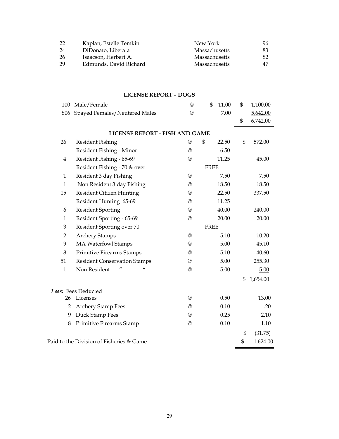| 22  | Kaplan, Estelle Temkin | New York      | 96 |
|-----|------------------------|---------------|----|
| -24 | DiDonato, Liberata     | Massachusetts | 83 |
| -26 | Isaacson, Herbert A.   | Massachusetts | 82 |
| -29 | Edmunds, David Richard | Massachusetts | 47 |

# **LICENSE REPORT – DOGS**

| 100                     | Male/Female                              | $\omega$             | \$          | 11.00 | \$<br>1,100.00 |
|-------------------------|------------------------------------------|----------------------|-------------|-------|----------------|
| 806                     | Spayed Females/Neutered Males            | @                    |             | 7.00  | 5,642.00       |
|                         |                                          |                      |             |       | \$<br>6,742.00 |
|                         | <b>LICENSE REPORT - FISH AND GAME</b>    |                      |             |       |                |
| 26                      | <b>Resident Fishing</b>                  | $^{\circledR}$       | \$          | 22.50 | \$<br>572.00   |
|                         | Resident Fishing - Minor                 | $\omega$             |             | 6.50  |                |
| $\overline{\mathbf{4}}$ | Resident Fishing - 65-69                 | $\omega$             |             | 11.25 | 45.00          |
|                         | Resident Fishing - 70 & over             |                      | <b>FREE</b> |       |                |
| $\mathbf{1}$            | Resident 3 day Fishing                   | @                    |             | 7.50  | 7.50           |
| 1                       | Non Resident 3 day Fishing               | $\omega$             |             | 18.50 | 18.50          |
| 15                      | Resident Citizen Hunting                 | @                    |             | 22.50 | 337.50         |
|                         | Resident Hunting 65-69                   | $\circleda$          |             | 11.25 |                |
| 6                       | <b>Resident Sporting</b>                 | $^{\circledR}$       |             | 40.00 | 240.00         |
| $\mathbf{1}$            | Resident Sporting - 65-69                | $\omega$             |             | 20.00 | 20.00          |
| 3                       | Resident Sporting over 70                |                      | <b>FREE</b> |       |                |
| $\overline{2}$          | <b>Archery Stamps</b>                    | $\omega$             |             | 5.10  | 10.20          |
| 9                       | <b>MA Waterfowl Stamps</b>               | $^{\textregistered}$ |             | 5.00  | 45.10          |
| 8                       | <b>Primitive Firearms Stamps</b>         | $\omega$             |             | 5.10  | 40.60          |
| 51                      | <b>Resident Conservation Stamps</b>      | @                    |             | 5.00  | 255.30         |
| $\mathbf{1}$            | $\mathbf{u}$<br>Non Resident             | $\omega$             |             | 5.00  | 5.00           |
|                         |                                          |                      |             |       | \$<br>1,654.00 |
|                         | Less: Fees Deducted                      |                      |             |       |                |
| 26                      | Licenses                                 | $\omega$             |             | 0.50  | 13.00          |
| $\overline{2}$          | <b>Archery Stamp Fees</b>                | $\omega$             |             | 0.10  | .20            |
| 9                       | Duck Stamp Fees                          | $\omega$             |             | 0.25  | 2.10           |
| 8                       | Primitive Firearms Stamp                 | $\omega$             |             | 0.10  | 1.10           |
|                         |                                          |                      |             |       | \$<br>(31.75)  |
|                         | Paid to the Division of Fisheries & Game |                      |             |       | \$<br>1.624.00 |